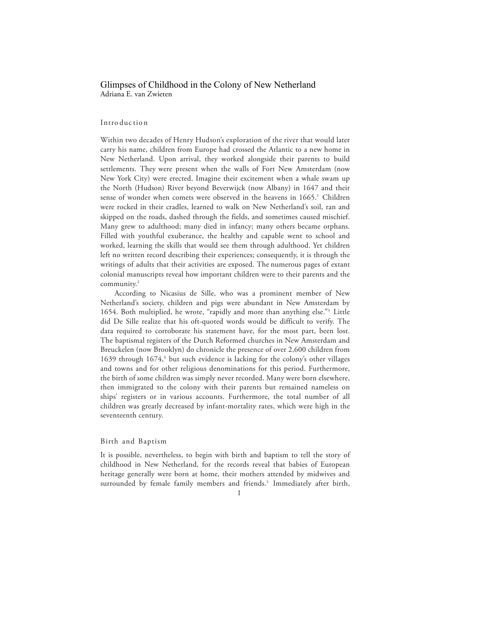# Glimpses of Childhood in the Colony of New Netherland Adriana E. van Zwieten

## Intro duc tio n

Within two decades of Henry Hudson's exploration of the river that would later carry his name, children from Europe had crossed the Atlantic to a new home in New Netherland. Upon arrival, they worked alongside their parents to build settlements. They were present when the walls of Fort New Amsterdam (now New York City) were erected. Imagine their excitement when a whale swam up the North (Hudson) River beyond Beverwijck (now Albany) in 1647 and their sense of wonder when comets were observed in the heavens in 1665. 1 Children were rocked in their cradles, learned to walk on New Netherland's soil, ran and skipped on the roads, dashed through the fields, and sometimes caused mischief. Many grew to adulthood; many died in infancy; many others became orphans. Filled with youthful exuberance, the healthy and capable went to school and worked, learning the skills that would see them through adulthood. Yet children left no written record describing their experiences; consequently, it is through the writings of adults that their activities are exposed. The numerous pages of extant colonial manuscripts reveal how important children were to their parents and the community. 2

According to Nicasius de Sille, who was a prominent member of New Netherland's society, children and pigs were abundant in New Amsterdam by 1654. Both multiplied, he wrote, "rapidly and more than anything else."3 Little did De Sille realize that his oft-quoted words would be difficult to verify. The data required to corroborate his statement have, for the most part, been lost. The baptismal registers of the Dutch Reformed churches in New Amsterdam and Breuckelen (now Brooklyn) do chronicle the presence of over 2,600 children from 1639 through  $1674<sup>4</sup>$  but such evidence is lacking for the colony's other villages and towns and for other religious denominations for this period. Furthermore, the birth of some children was simply never recorded. Many were born elsewhere, then immigrated to the colony with their parents but remained nameless on ships' registers or in various accounts. Furthermore, the total number of all children was greatly decreased by infant-mortality rates, which were high in the seventeenth century.

#### Birth and Baptism

It is possible, nevertheless, to begin with birth and baptism to tell the story of childhood in New Netherland, for the records reveal that babies of European heritage generally were born at home, their mothers attended by midwives and surrounded by female family members and friends.<sup>5</sup> Immediately after birth,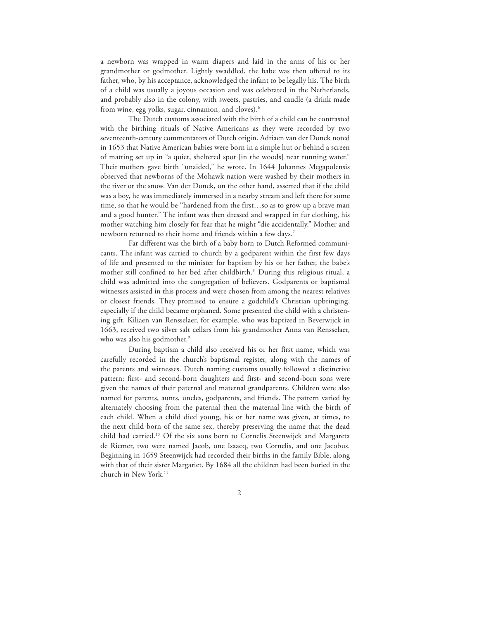a newborn was wrapped in warm diapers and laid in the arms of his or her grandmother or godmother. Lightly swaddled, the babe was then offered to its father, who, by his acceptance, acknowledged the infant to be legally his. The birth of a child was usually a joyous occasion and was celebrated in the Netherlands, and probably also in the colony, with sweets, pastries, and caudle (a drink made from wine, egg yolks, sugar, cinnamon, and cloves).6

The Dutch customs associated with the birth of a child can be contrasted with the birthing rituals of Native Americans as they were recorded by two seventeenth-century commentators of Dutch origin. Adriaen van der Donck noted in 1653 that Native American babies were born in a simple hut or behind a screen of matting set up in "a quiet, sheltered spot [in the woods] near running water." Their mothers gave birth "unaided," he wrote. In 1644 Johannes Megapolensis observed that newborns of the Mohawk nation were washed by their mothers in the river or the snow. Van der Donck, on the other hand, asserted that if the child was a boy, he was immediately immersed in a nearby stream and left there for some time, so that he would be "hardened from the first…so as to grow up a brave man and a good hunter." The infant was then dressed and wrapped in fur clothing, his mother watching him closely for fear that he might "die accidentally." Mother and newborn returned to their home and friends within a few days.<sup>7</sup>

Far different was the birth of a baby born to Dutch Reformed communicants. The infant was carried to church by a godparent within the first few days of life and presented to the minister for baptism by his or her father, the babe's mother still confined to her bed after childbirth.<sup>8</sup> During this religious ritual, a child was admitted into the congregation of believers. Godparents or baptismal witnesses assisted in this process and were chosen from among the nearest relatives or closest friends. They promised to ensure a godchild's Christian upbringing, especially if the child became orphaned. Some presented the child with a christening gift. Kiliaen van Rensselaer, for example, who was baptized in Beverwijck in 1663, received two silver salt cellars from his grandmother Anna van Rensselaer, who was also his godmother. 9

During baptism a child also received his or her first name, which was carefully recorded in the church's baptismal register, along with the names of the parents and witnesses. Dutch naming customs usually followed a distinctive pattern: first- and second-born daughters and first- and second-born sons were given the names of their paternal and maternal grandparents. Children were also named for parents, aunts, uncles, godparents, and friends. The pattern varied by alternately choosing from the paternal then the maternal line with the birth of each child. When a child died young, his or her name was given, at times, to the next child born of the same sex, thereby preserving the name that the dead child had carried.10 Of the six sons born to Cornelis Steenwijck and Margareta de Riemer, two were named Jacob, one Isaacq, two Cornelis, and one Jacobus. Beginning in 1659 Steenwijck had recorded their births in the family Bible, along with that of their sister Margariet. By 1684 all the children had been buried in the church in New York.<sup>11</sup>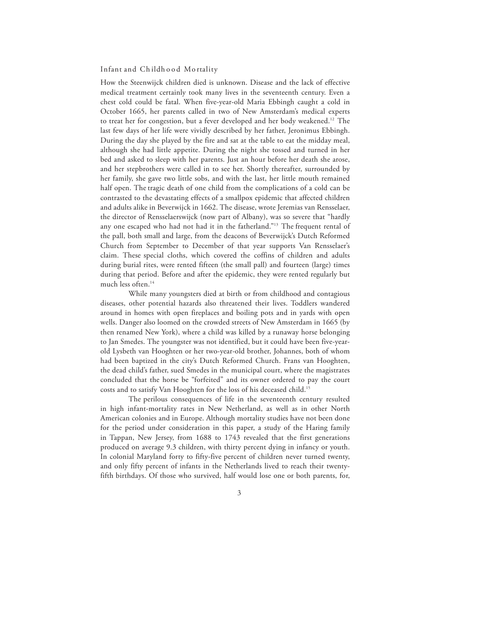#### Infant and Ch ildh o o d Mo rtality

How the Steenwijck children died is unknown. Disease and the lack of effective medical treatment certainly took many lives in the seventeenth century. Even a chest cold could be fatal. When five-year-old Maria Ebbingh caught a cold in October 1665, her parents called in two of New Amsterdam's medical experts to treat her for congestion, but a fever developed and her body weakened.<sup>12</sup> The last few days of her life were vividly described by her father, Jeronimus Ebbingh. During the day she played by the fire and sat at the table to eat the midday meal, although she had little appetite. During the night she tossed and turned in her bed and asked to sleep with her parents. Just an hour before her death she arose, and her stepbrothers were called in to see her. Shortly thereafter, surrounded by her family, she gave two little sobs, and with the last, her little mouth remained half open. The tragic death of one child from the complications of a cold can be contrasted to the devastating effects of a smallpox epidemic that affected children and adults alike in Beverwijck in 1662. The disease, wrote Jeremias van Rensselaer, the director of Rensselaerswijck (now part of Albany), was so severe that "hardly any one escaped who had not had it in the fatherland."<sup>13</sup> The frequent rental of the pall, both small and large, from the deacons of Beverwijck's Dutch Reformed Church from September to December of that year supports Van Rensselaer's claim. These special cloths, which covered the coffins of children and adults during burial rites, were rented fifteen (the small pall) and fourteen (large) times during that period. Before and after the epidemic, they were rented regularly but much less often.<sup>14</sup>

While many youngsters died at birth or from childhood and contagious diseases, other potential hazards also threatened their lives. Toddlers wandered around in homes with open fireplaces and boiling pots and in yards with open wells. Danger also loomed on the crowded streets of New Amsterdam in 1665 (by then renamed New York), where a child was killed by a runaway horse belonging to Jan Smedes. The youngster was not identified, but it could have been five-yearold Lysbeth van Hooghten or her two-year-old brother, Johannes, both of whom had been baptized in the city's Dutch Reformed Church. Frans van Hooghten, the dead child's father, sued Smedes in the municipal court, where the magistrates concluded that the horse be "forfeited" and its owner ordered to pay the court costs and to satisfy Van Hooghten for the loss of his deceased child.<sup>15</sup>

The perilous consequences of life in the seventeenth century resulted in high infant-mortality rates in New Netherland, as well as in other North American colonies and in Europe. Although mortality studies have not been done for the period under consideration in this paper, a study of the Haring family in Tappan, New Jersey, from 1688 to 1743 revealed that the first generations produced on average 9.3 children, with thirty percent dying in infancy or youth. In colonial Maryland forty to fifty-five percent of children never turned twenty, and only fifty percent of infants in the Netherlands lived to reach their twentyfifth birthdays. Of those who survived, half would lose one or both parents, for,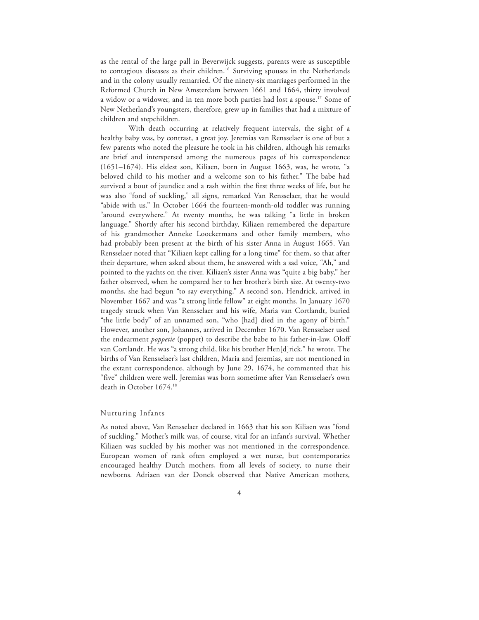as the rental of the large pall in Beverwijck suggests, parents were as susceptible to contagious diseases as their children.<sup>16</sup> Surviving spouses in the Netherlands and in the colony usually remarried. Of the ninety-six marriages performed in the Reformed Church in New Amsterdam between 1661 and 1664, thirty involved a widow or a widower, and in ten more both parties had lost a spouse.<sup>17</sup> Some of New Netherland's youngsters, therefore, grew up in families that had a mixture of children and stepchildren.

With death occurring at relatively frequent intervals, the sight of a healthy baby was, by contrast, a great joy. Jeremias van Rensselaer is one of but a few parents who noted the pleasure he took in his children, although his remarks are brief and interspersed among the numerous pages of his correspondence (1651–1674). His eldest son, Kiliaen, born in August 1663, was, he wrote, "a beloved child to his mother and a welcome son to his father." The babe had survived a bout of jaundice and a rash within the first three weeks of life, but he was also "fond of suckling," all signs, remarked Van Rensselaer, that he would "abide with us." In October 1664 the fourteen-month-old toddler was running "around everywhere." At twenty months, he was talking "a little in broken language." Shortly after his second birthday, Kiliaen remembered the departure of his grandmother Anneke Loockermans and other family members, who had probably been present at the birth of his sister Anna in August 1665. Van Rensselaer noted that "Kiliaen kept calling for a long time" for them, so that after their departure, when asked about them, he answered with a sad voice, "Ah," and pointed to the yachts on the river. Kiliaen's sister Anna was "quite a big baby," her father observed, when he compared her to her brother's birth size. At twenty-two months, she had begun "to say everything." A second son, Hendrick, arrived in November 1667 and was "a strong little fellow" at eight months. In January 1670 tragedy struck when Van Rensselaer and his wife, Maria van Cortlandt, buried "the little body" of an unnamed son, "who [had] died in the agony of birth." However, another son, Johannes, arrived in December 1670. Van Rensselaer used the endearment *poppetie* (poppet) to describe the babe to his father-in-law, Oloff van Cortlandt. He was "a strong child, like his brother Hen[d]rick," he wrote. The births of Van Rensselaer's last children, Maria and Jeremias, are not mentioned in the extant correspondence, although by June 29, 1674, he commented that his "five" children were well. Jeremias was born sometime after Van Rensselaer's own death in October 1674.18

# Nurturing Infants

As noted above, Van Rensselaer declared in 1663 that his son Kiliaen was "fond of suckling." Mother's milk was, of course, vital for an infant's survival. Whether Kiliaen was suckled by his mother was not mentioned in the correspondence. European women of rank often employed a wet nurse, but contemporaries encouraged healthy Dutch mothers, from all levels of society, to nurse their newborns. Adriaen van der Donck observed that Native American mothers,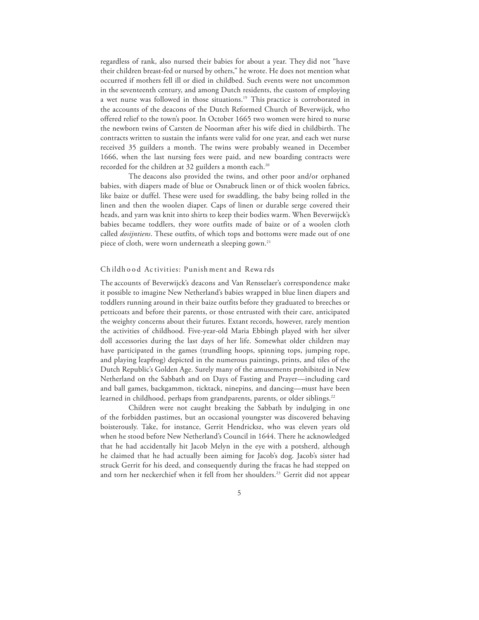regardless of rank, also nursed their babies for about a year. They did not "have their children breast-fed or nursed by others," he wrote. He does not mention what occurred if mothers fell ill or died in childbed. Such events were not uncommon in the seventeenth century, and among Dutch residents, the custom of employing a wet nurse was followed in those situations.<sup>19</sup> This practice is corroborated in the accounts of the deacons of the Dutch Reformed Church of Beverwijck, who offered relief to the town's poor. In October 1665 two women were hired to nurse the newborn twins of Carsten de Noorman after his wife died in childbirth. The contracts written to sustain the infants were valid for one year, and each wet nurse received 35 guilders a month. The twins were probably weaned in December 1666, when the last nursing fees were paid, and new boarding contracts were recorded for the children at 32 guilders a month each.<sup>20</sup>

The deacons also provided the twins, and other poor and/or orphaned babies, with diapers made of blue or Osnabruck linen or of thick woolen fabrics, like baize or duffel. These were used for swaddling, the baby being rolled in the linen and then the woolen diaper. Caps of linen or durable serge covered their heads, and yarn was knit into shirts to keep their bodies warm. When Beverwijck's babies became toddlers, they wore outfits made of baize or of a woolen cloth called *dosijntiens*. These outfits, of which tops and bottoms were made out of one piece of cloth, were worn underneath a sleeping gown.<sup>21</sup>

## Ch ildh o o d Ac tivities: Punish ment and Rewa rds

The accounts of Beverwijck's deacons and Van Rensselaer's correspondence make it possible to imagine New Netherland's babies wrapped in blue linen diapers and toddlers running around in their baize outfits before they graduated to breeches or petticoats and before their parents, or those entrusted with their care, anticipated the weighty concerns about their futures. Extant records, however, rarely mention the activities of childhood. Five-year-old Maria Ebbingh played with her silver doll accessories during the last days of her life. Somewhat older children may have participated in the games (trundling hoops, spinning tops, jumping rope, and playing leapfrog) depicted in the numerous paintings, prints, and tiles of the Dutch Republic's Golden Age. Surely many of the amusements prohibited in New Netherland on the Sabbath and on Days of Fasting and Prayer—including card and ball games, backgammon, ticktack, ninepins, and dancing—must have been learned in childhood, perhaps from grandparents, parents, or older siblings.<sup>22</sup>

Children were not caught breaking the Sabbath by indulging in one of the forbidden pastimes, but an occasional youngster was discovered behaving boisterously. Take, for instance, Gerrit Hendricksz, who was eleven years old when he stood before New Netherland's Council in 1644. There he acknowledged that he had accidentally hit Jacob Melyn in the eye with a potsherd, although he claimed that he had actually been aiming for Jacob's dog. Jacob's sister had struck Gerrit for his deed, and consequently during the fracas he had stepped on and torn her neckerchief when it fell from her shoulders.<sup>23</sup> Gerrit did not appear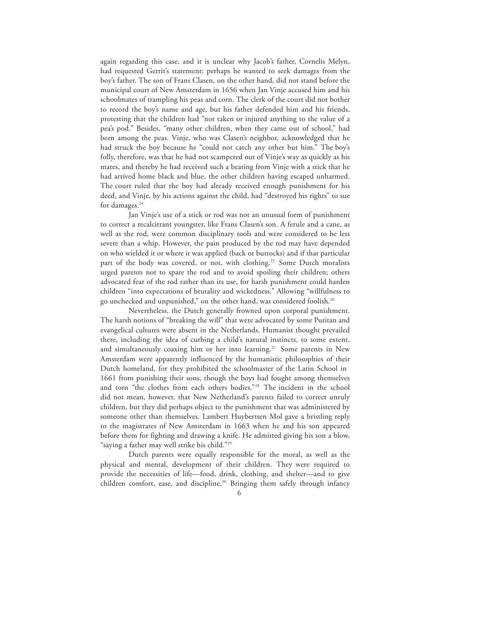again regarding this case, and it is unclear why Jacob's father, Cornelis Melyn, had requested Gerrit's statement; perhaps he wanted to seek damages from the boy's father. The son of Frans Clasen, on the other hand, did not stand before the municipal court of New Amsterdam in 1656 when Jan Vinje accused him and his schoolmates of trampling his peas and corn. The clerk of the court did not bother to record the boy's name and age, but his father defended him and his friends, protesting that the children had "not taken or injured anything to the value of a pea's pod." Besides, "many other children, when they came out of school," had been among the peas. Vinje, who was Clasen's neighbor, acknowledged that he had struck the boy because he "could not catch any other but him." The boy's folly, therefore, was that he had not scampered out of Vinje's way as quickly as his mates, and thereby he had received such a beating from Vinje with a stick that he had arrived home black and blue, the other children having escaped unharmed. The court ruled that the boy had already received enough punishment for his deed, and Vinje, by his actions against the child, had "destroyed his rights" to sue for damages.<sup>24</sup>

Jan Vinje's use of a stick or rod was not an unusual form of punishment to correct a recalcitrant youngster, like Frans Clasen's son. A ferule and a cane, as well as the rod, were common disciplinary tools and were considered to be less severe than a whip. However, the pain produced by the rod may have depended on who wielded it or where it was applied (back or buttocks) and if that particular part of the body was covered, or not, with clothing.<sup>25</sup> Some Dutch moralists urged parents not to spare the rod and to avoid spoiling their children; others advocated fear of the rod rather than its use, for harsh punishment could harden children "into expectations of brutality and wickedness." Allowing "willfulness to go unchecked and unpunished," on the other hand, was considered foolish.26

Nevertheless, the Dutch generally frowned upon corporal punishment. The harsh notions of "breaking the will" that were advocated by some Puritan and evangelical cultures were absent in the Netherlands. Humanist thought prevailed there, including the idea of curbing a child's natural instincts, to some extent, and simultaneously coaxing him or her into learning.<sup>27</sup> Some parents in New Amsterdam were apparently influenced by the humanistic philosophies of their Dutch homeland, for they prohibited the schoolmaster of the Latin School in 1661 from punishing their sons, though the boys had fought among themselves and torn "the clothes from each others bodies."28 The incident in the school did not mean, however, that New Netherland's parents failed to correct unruly children, but they did perhaps object to the punishment that was administered by someone other than themselves. Lambert Huybertsen Mol gave a bristling reply to the magistrates of New Amsterdam in 1663 when he and his son appeared before them for fighting and drawing a knife. He admitted giving his son a blow, "saying a father may well strike his child."29

Dutch parents were equally responsible for the moral, as well as the physical and mental, development of their children. They were required to provide the necessities of life—food, drink, clothing, and shelter—and to give children comfort, ease, and discipline.<sup>30</sup> Bringing them safely through infancy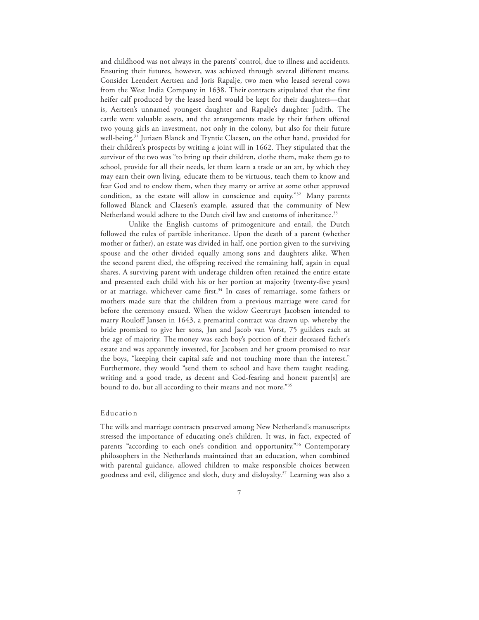and childhood was not always in the parents' control, due to illness and accidents. Ensuring their futures, however, was achieved through several different means. Consider Leendert Aertsen and Joris Rapalje, two men who leased several cows from the West India Company in 1638. Their contracts stipulated that the first heifer calf produced by the leased herd would be kept for their daughters—that is, Aertsen's unnamed youngest daughter and Rapalje's daughter Judith. The cattle were valuable assets, and the arrangements made by their fathers offered two young girls an investment, not only in the colony, but also for their future well-being.<sup>31</sup> Juriaen Blanck and Tryntie Claesen, on the other hand, provided for their children's prospects by writing a joint will in 1662. They stipulated that the survivor of the two was "to bring up their children, clothe them, make them go to school, provide for all their needs, let them learn a trade or an art, by which they may earn their own living, educate them to be virtuous, teach them to know and fear God and to endow them, when they marry or arrive at some other approved condition, as the estate will allow in conscience and equity."32 Many parents followed Blanck and Claesen's example, assured that the community of New Netherland would adhere to the Dutch civil law and customs of inheritance.<sup>33</sup>

Unlike the English customs of primogeniture and entail, the Dutch followed the rules of partible inheritance. Upon the death of a parent (whether mother or father), an estate was divided in half, one portion given to the surviving spouse and the other divided equally among sons and daughters alike. When the second parent died, the offspring received the remaining half, again in equal shares. A surviving parent with underage children often retained the entire estate and presented each child with his or her portion at majority (twenty-five years) or at marriage, whichever came first.<sup>34</sup> In cases of remarriage, some fathers or mothers made sure that the children from a previous marriage were cared for before the ceremony ensued. When the widow Geertruyt Jacobsen intended to marry Rouloff Jansen in 1643, a premarital contract was drawn up, whereby the bride promised to give her sons, Jan and Jacob van Vorst, 75 guilders each at the age of majority. The money was each boy's portion of their deceased father's estate and was apparently invested, for Jacobsen and her groom promised to rear the boys, "keeping their capital safe and not touching more than the interest." Furthermore, they would "send them to school and have them taught reading, writing and a good trade, as decent and God-fearing and honest parent[s] are bound to do, but all according to their means and not more."35

#### Educ atio n

The wills and marriage contracts preserved among New Netherland's manuscripts stressed the importance of educating one's children. It was, in fact, expected of parents "according to each one's condition and opportunity."<sup>36</sup> Contemporary philosophers in the Netherlands maintained that an education, when combined with parental guidance, allowed children to make responsible choices between goodness and evil, diligence and sloth, duty and disloyalty. 37 Learning was also a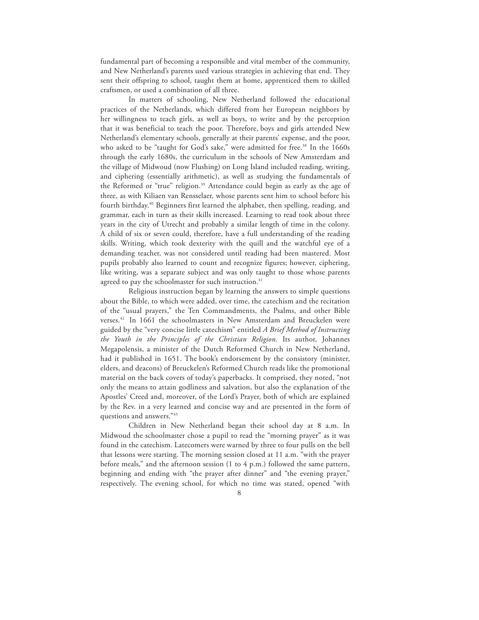fundamental part of becoming a responsible and vital member of the community, and New Netherland's parents used various strategies in achieving that end. They sent their offspring to school, taught them at home, apprenticed them to skilled craftsmen, or used a combination of all three.

In matters of schooling, New Netherland followed the educational practices of the Netherlands, which differed from her European neighbors by her willingness to teach girls, as well as boys, to write and by the perception that it was beneficial to teach the poor. Therefore, boys and girls attended New Netherland's elementary schools, generally at their parents' expense, and the poor, who asked to be "taught for God's sake," were admitted for free.<sup>38</sup> In the 1660s through the early 1680s, the curriculum in the schools of New Amsterdam and the village of Midwoud (now Flushing) on Long Island included reading, writing, and ciphering (essentially arithmetic), as well as studying the fundamentals of the Reformed or "true" religion.<sup>39</sup> Attendance could begin as early as the age of three, as with Kiliaen van Rensselaer, whose parents sent him to school before his fourth birthday. <sup>40</sup> Beginners first learned the alphabet, then spelling, reading, and grammar, each in turn as their skills increased. Learning to read took about three years in the city of Utrecht and probably a similar length of time in the colony. A child of six or seven could, therefore, have a full understanding of the reading skills. Writing, which took dexterity with the quill and the watchful eye of a demanding teacher, was not considered until reading had been mastered. Most pupils probably also learned to count and recognize figures; however, ciphering, like writing, was a separate subject and was only taught to those whose parents agreed to pay the schoolmaster for such instruction.<sup>41</sup>

Religious instruction began by learning the answers to simple questions about the Bible, to which were added, over time, the catechism and the recitation of the "usual prayers," the Ten Commandments, the Psalms, and other Bible verses.42 In 1661 the schoolmasters in New Amsterdam and Breuckelen were guided by the "very concise little catechism" entitled *A Brief Method of Instructing the Youth in the Principles of the Christian Religion*. Its author, Johannes Megapolensis, a minister of the Dutch Reformed Church in New Netherland, had it published in 1651. The book's endorsement by the consistory (minister, elders, and deacons) of Breuckelen's Reformed Church reads like the promotional material on the back covers of today's paperbacks. It comprised, they noted, "not only the means to attain godliness and salvation, but also the explanation of the Apostles' Creed and, moreover, of the Lord's Prayer, both of which are explained by the Rev. in a very learned and concise way and are presented in the form of questions and answers."43

Children in New Netherland began their school day at 8 a.m. In Midwoud the schoolmaster chose a pupil to read the "morning prayer" as it was found in the catechism. Latecomers were warned by three to four pulls on the bell that lessons were starting. The morning session closed at 11 a.m. "with the prayer before meals," and the afternoon session (1 to 4 p.m.) followed the same pattern, beginning and ending with "the prayer after dinner" and "the evening prayer," respectively. The evening school, for which no time was stated, opened "with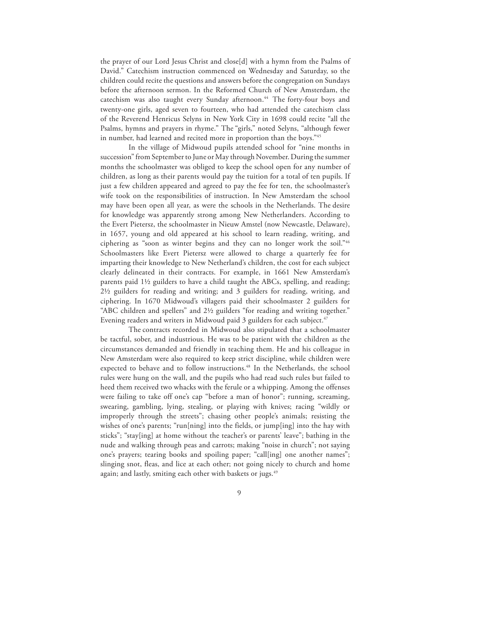the prayer of our Lord Jesus Christ and close[d] with a hymn from the Psalms of David." Catechism instruction commenced on Wednesday and Saturday, so the children could recite the questions and answers before the congregation on Sundays before the afternoon sermon. In the Reformed Church of New Amsterdam, the catechism was also taught every Sunday afternoon.<sup>44</sup> The forty-four boys and twenty-one girls, aged seven to fourteen, who had attended the catechism class of the Reverend Henricus Selyns in New York City in 1698 could recite "all the Psalms, hymns and prayers in rhyme." The "girls," noted Selyns, "although fewer in number, had learned and recited more in proportion than the boys."45

In the village of Midwoud pupils attended school for "nine months in succession" from September to June or May through November. During the summer months the schoolmaster was obliged to keep the school open for any number of children, as long as their parents would pay the tuition for a total of ten pupils. If just a few children appeared and agreed to pay the fee for ten, the schoolmaster's wife took on the responsibilities of instruction. In New Amsterdam the school may have been open all year, as were the schools in the Netherlands. The desire for knowledge was apparently strong among New Netherlanders. According to the Evert Pietersz, the schoolmaster in Nieuw Amstel (now Newcastle, Delaware), in 1657, young and old appeared at his school to learn reading, writing, and ciphering as "soon as winter begins and they can no longer work the soil."46 Schoolmasters like Evert Pietersz were allowed to charge a quarterly fee for imparting their knowledge to New Netherland's children, the cost for each subject clearly delineated in their contracts. For example, in 1661 New Amsterdam's parents paid 1½ guilders to have a child taught the ABCs, spelling, and reading; 2½ guilders for reading and writing; and 3 guilders for reading, writing, and ciphering. In 1670 Midwoud's villagers paid their schoolmaster 2 guilders for "ABC children and spellers" and 2½ guilders "for reading and writing together." Evening readers and writers in Midwoud paid 3 guilders for each subject.<sup>47</sup>

The contracts recorded in Midwoud also stipulated that a schoolmaster be tactful, sober, and industrious. He was to be patient with the children as the circumstances demanded and friendly in teaching them. He and his colleague in New Amsterdam were also required to keep strict discipline, while children were expected to behave and to follow instructions.<sup>48</sup> In the Netherlands, the school rules were hung on the wall, and the pupils who had read such rules but failed to heed them received two whacks with the ferule or a whipping. Among the offenses were failing to take off one's cap "before a man of honor"; running, screaming, swearing, gambling, lying, stealing, or playing with knives; racing "wildly or improperly through the streets"; chasing other people's animals; resisting the wishes of one's parents; "run[ning] into the fields, or jump[ing] into the hay with sticks"; "stay[ing] at home without the teacher's or parents' leave"; bathing in the nude and walking through peas and carrots; making "noise in church"; not saying one's prayers; tearing books and spoiling paper; "call[ing] one another names"; slinging snot, fleas, and lice at each other; not going nicely to church and home again; and lastly, smiting each other with baskets or jugs.<sup>49</sup>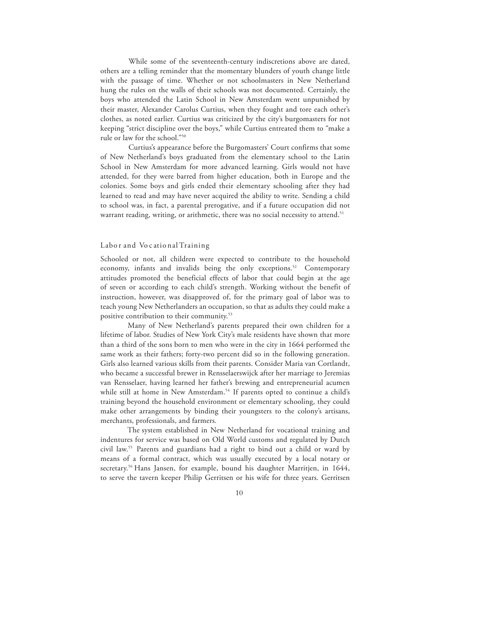While some of the seventeenth-century indiscretions above are dated, others are a telling reminder that the momentary blunders of youth change little with the passage of time. Whether or not schoolmasters in New Netherland hung the rules on the walls of their schools was not documented. Certainly, the boys who attended the Latin School in New Amsterdam went unpunished by their master, Alexander Carolus Curtius, when they fought and tore each other's clothes, as noted earlier. Curtius was criticized by the city's burgomasters for not keeping "strict discipline over the boys," while Curtius entreated them to "make a rule or law for the school."50

Curtius's appearance before the Burgomasters' Court confirms that some of New Netherland's boys graduated from the elementary school to the Latin School in New Amsterdam for more advanced learning. Girls would not have attended, for they were barred from higher education, both in Europe and the colonies. Some boys and girls ended their elementary schooling after they had learned to read and may have never acquired the ability to write. Sending a child to school was, in fact, a parental prerogative, and if a future occupation did not warrant reading, writing, or arithmetic, there was no social necessity to attend.<sup>51</sup>

## Labo r and Vo c atio nal Training

Schooled or not, all children were expected to contribute to the household economy, infants and invalids being the only exceptions.<sup>52</sup> Contemporary attitudes promoted the beneficial effects of labor that could begin at the age of seven or according to each child's strength. Working without the benefit of instruction, however, was disapproved of, for the primary goal of labor was to teach young New Netherlanders an occupation, so that as adults they could make a positive contribution to their community. 53

Many of New Netherland's parents prepared their own children for a lifetime of labor. Studies of New York City's male residents have shown that more than a third of the sons born to men who were in the city in 1664 performed the same work as their fathers; forty-two percent did so in the following generation. Girls also learned various skills from their parents. Consider Maria van Cortlandt, who became a successful brewer in Rensselaerswijck after her marriage to Jeremias van Rensselaer, having learned her father's brewing and entrepreneurial acumen while still at home in New Amsterdam.<sup>54</sup> If parents opted to continue a child's training beyond the household environment or elementary schooling, they could make other arrangements by binding their youngsters to the colony's artisans, merchants, professionals, and farmers.

The system established in New Netherland for vocational training and indentures for service was based on Old World customs and regulated by Dutch civil law. 55 Parents and guardians had a right to bind out a child or ward by means of a formal contract, which was usually executed by a local notary or secretary. 56 Hans Jansen, for example, bound his daughter Marritjen, in 1644, to serve the tavern keeper Philip Gerritsen or his wife for three years. Gerritsen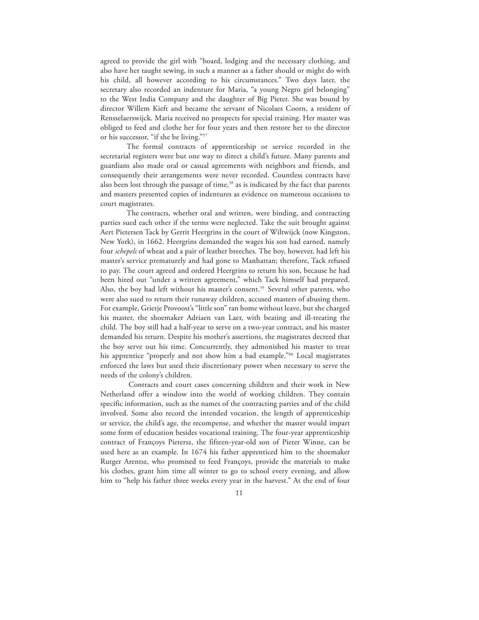agreed to provide the girl with "board, lodging and the necessary clothing, and also have her taught sewing, in such a manner as a father should or might do with his child, all however according to his circumstances." Two days later, the secretary also recorded an indenture for Maria, "a young Negro girl belonging" to the West India Company and the daughter of Big Pieter. She was bound by director Willem Kieft and became the servant of Nicolaes Coorn, a resident of Rensselaerswijck. Maria received no prospects for special training. Her master was obliged to feed and clothe her for four years and then restore her to the director or his successor, "if she be living."57

The formal contracts of apprenticeship or service recorded in the secretarial registers were but one way to direct a child's future. Many parents and guardians also made oral or casual agreements with neighbors and friends, and consequently their arrangements were never recorded. Countless contracts have also been lost through the passage of time,<sup>58</sup> as is indicated by the fact that parents and masters presented copies of indentures as evidence on numerous occasions to court magistrates.

The contracts, whether oral and written, were binding, and contracting parties sued each other if the terms were neglected. Take the suit brought against Aert Pietersen Tack by Gerrit Heergrins in the court of Wiltwijck (now Kingston, New York), in 1662. Heergrins demanded the wages his son had earned, namely four *schepels* of wheat and a pair of leather breeches. The boy, however, had left his master's service prematurely and had gone to Manhattan; therefore, Tack refused to pay. The court agreed and ordered Heergrins to return his son, because he had been hired out "under a written agreement," which Tack himself had prepared. Also, the boy had left without his master's consent.<sup>59</sup> Several other parents, who were also sued to return their runaway children, accused masters of abusing them. For example, Grietje Provoost's "little son" ran home without leave, but she charged his master, the shoemaker Adriaen van Laer, with beating and ill-treating the child. The boy still had a half-year to serve on a two-year contract, and his master demanded his return. Despite his mother's assertions, the magistrates decreed that the boy serve out his time. Concurrently, they admonished his master to treat his apprentice "properly and not show him a bad example."60 Local magistrates enforced the laws but used their discretionary power when necessary to serve the needs of the colony's children.

Contracts and court cases concerning children and their work in New Netherland offer a window into the world of working children. They contain specific information, such as the names of the contracting parties and of the child involved. Some also record the intended vocation, the length of apprenticeship or service, the child's age, the recompense, and whether the master would impart some form of education besides vocational training. The four-year apprenticeship contract of Françoys Pietersz, the fifteen-year-old son of Pieter Winne, can be used here as an example. In 1674 his father apprenticed him to the shoemaker Rutger Arentsz, who promised to feed Françoys, provide the materials to make his clothes, grant him time all winter to go to school every evening, and allow him to "help his father three weeks every year in the harvest." At the end of four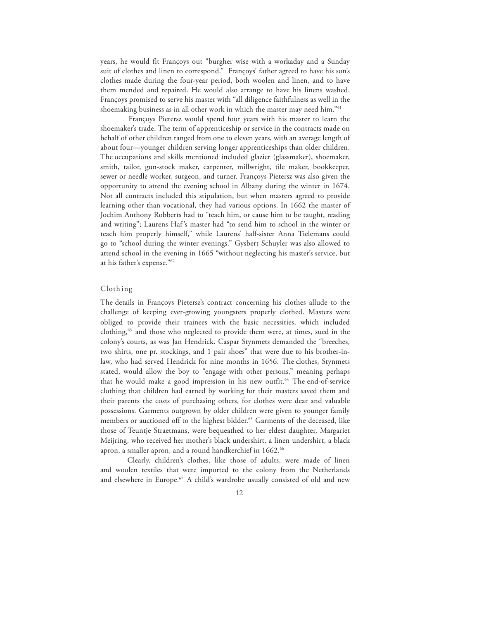years, he would fit Françoys out "burgher wise with a workaday and a Sunday suit of clothes and linen to correspond." Françoys' father agreed to have his son's clothes made during the four-year period, both woolen and linen, and to have them mended and repaired. He would also arrange to have his linens washed. Françoys promised to serve his master with "all diligence faithfulness as well in the shoemaking business as in all other work in which the master may need him."61

Françoys Pietersz would spend four years with his master to learn the shoemaker's trade. The term of apprenticeship or service in the contracts made on behalf of other children ranged from one to eleven years, with an average length of about four—younger children serving longer apprenticeships than older children. The occupations and skills mentioned included glazier (glassmaker), shoemaker, smith, tailor, gun-stock maker, carpenter, millwright, tile maker, bookkeeper, sewer or needle worker, surgeon, and turner. Françoys Pietersz was also given the opportunity to attend the evening school in Albany during the winter in 1674. Not all contracts included this stipulation, but when masters agreed to provide learning other than vocational, they had various options. In 1662 the master of Jochim Anthony Robberts had to "teach him, or cause him to be taught, reading and writing"; Laurens Haf 's master had "to send him to school in the winter or teach him properly himself," while Laurens' half-sister Anna Tielemans could go to "school during the winter evenings." Gysbert Schuyler was also allowed to attend school in the evening in 1665 "without neglecting his master's service, but at his father's expense."62

## Cloth ing

The details in Françoys Pietersz's contract concerning his clothes allude to the challenge of keeping ever-growing youngsters properly clothed. Masters were obliged to provide their trainees with the basic necessities, which included clothing,<sup>63</sup> and those who neglected to provide them were, at times, sued in the colony's courts, as was Jan Hendrick. Caspar Stynmets demanded the "breeches, two shirts, one pr. stockings, and 1 pair shoes" that were due to his brother-inlaw, who had served Hendrick for nine months in 1656. The clothes, Stynmets stated, would allow the boy to "engage with other persons," meaning perhaps that he would make a good impression in his new outfit. 64 The end-of-service clothing that children had earned by working for their masters saved them and their parents the costs of purchasing others, for clothes were dear and valuable possessions. Garments outgrown by older children were given to younger family members or auctioned off to the highest bidder. <sup>65</sup> Garments of the deceased, like those of Teuntje Straetmans, were bequeathed to her eldest daughter, Margariet Meijring, who received her mother's black undershirt, a linen undershirt, a black apron, a smaller apron, and a round handkerchief in 1662.<sup>66</sup>

Clearly, children's clothes, like those of adults, were made of linen and woolen textiles that were imported to the colony from the Netherlands and elsewhere in Europe.<sup>67</sup> A child's wardrobe usually consisted of old and new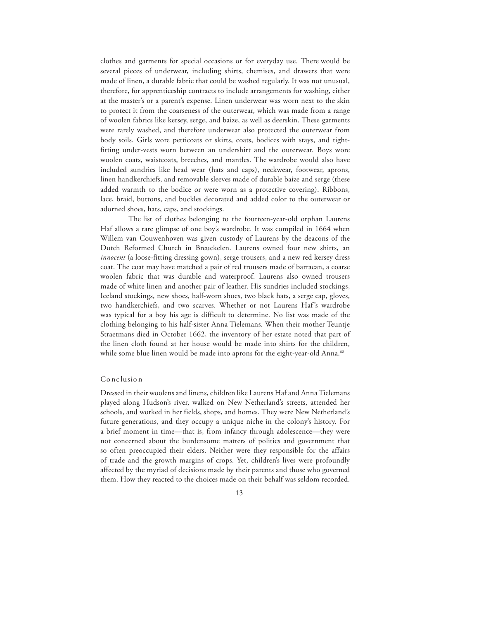clothes and garments for special occasions or for everyday use. There would be several pieces of underwear, including shirts, chemises, and drawers that were made of linen, a durable fabric that could be washed regularly. It was not unusual, therefore, for apprenticeship contracts to include arrangements for washing, either at the master's or a parent's expense. Linen underwear was worn next to the skin to protect it from the coarseness of the outerwear, which was made from a range of woolen fabrics like kersey, serge, and baize, as well as deerskin. These garments were rarely washed, and therefore underwear also protected the outerwear from body soils. Girls wore petticoats or skirts, coats, bodices with stays, and tightfitting under-vests worn between an undershirt and the outerwear. Boys wore woolen coats, waistcoats, breeches, and mantles. The wardrobe would also have included sundries like head wear (hats and caps), neckwear, footwear, aprons, linen handkerchiefs, and removable sleeves made of durable baize and serge (these added warmth to the bodice or were worn as a protective covering). Ribbons, lace, braid, buttons, and buckles decorated and added color to the outerwear or adorned shoes, hats, caps, and stockings.

The list of clothes belonging to the fourteen-year-old orphan Laurens Haf allows a rare glimpse of one boy's wardrobe. It was compiled in 1664 when Willem van Couwenhoven was given custody of Laurens by the deacons of the Dutch Reformed Church in Breuckelen. Laurens owned four new shirts, an *innocent* (a loose-fitting dressing gown), serge trousers, and a new red kersey dress coat. The coat may have matched a pair of red trousers made of barracan, a coarse woolen fabric that was durable and waterproof. Laurens also owned trousers made of white linen and another pair of leather. His sundries included stockings, Iceland stockings, new shoes, half-worn shoes, two black hats, a serge cap, gloves, two handkerchiefs, and two scarves. Whether or not Laurens Haf's wardrobe was typical for a boy his age is difficult to determine. No list was made of the clothing belonging to his half-sister Anna Tielemans. When their mother Teuntje Straetmans died in October 1662, the inventory of her estate noted that part of the linen cloth found at her house would be made into shirts for the children, while some blue linen would be made into aprons for the eight-year-old Anna.<sup>68</sup>

#### Co nc lusio n

Dressed in their woolens and linens, children like Laurens Haf and AnnaTielemans played along Hudson's river, walked on New Netherland's streets, attended her schools, and worked in her fields, shops, and homes. They were New Netherland's future generations, and they occupy a unique niche in the colony's history. For a brief moment in time—that is, from infancy through adolescence—they were not concerned about the burdensome matters of politics and government that so often preoccupied their elders. Neither were they responsible for the affairs of trade and the growth margins of crops. Yet, children's lives were profoundly affected by the myriad of decisions made by their parents and those who governed them. How they reacted to the choices made on their behalf was seldom recorded.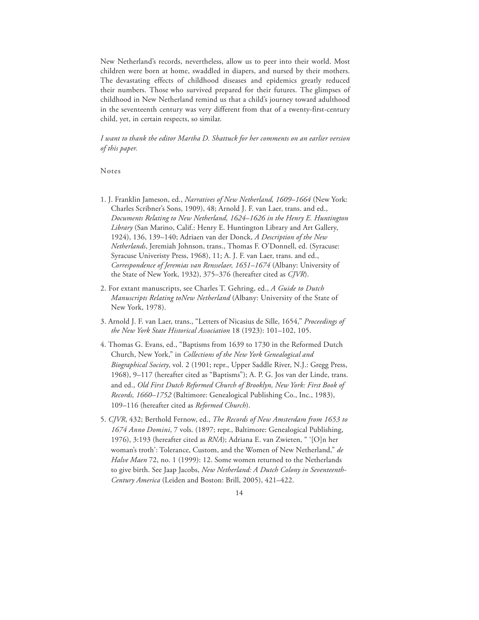New Netherland's records, nevertheless, allow us to peer into their world. Most children were born at home, swaddled in diapers, and nursed by their mothers. The devastating effects of childhood diseases and epidemics greatly reduced their numbers. Those who survived prepared for their futures. The glimpses of childhood in New Netherland remind us that a child's journey toward adulthood in the seventeenth century was very different from that of a twenty-first-century child, yet, in certain respects, so similar.

*I want to thank the editor Martha D. Shattuck for her comments on an earlier version of this paper.*

Notes

- 1. J. Franklin Jameson, ed., *Narratives of New Netherland, 1609–1664* (New York: Charles Scribner's Sons, 1909), 48; Arnold J. F. van Laer, trans. and ed., *Documents Relating to New Netherland, 1624–1626 in the Henry E. Huntington Library* (San Marino, Calif.: Henry E. Huntington Library and Art Gallery, 1924), 136, 139–140; Adriaen van der Donck, *A Description of the New Netherlands*, Jeremiah Johnson, trans., Thomas F. O'Donnell, ed. (Syracuse: Syracuse Univeristy Press, 1968), 11; A. J. F. van Laer, trans. and ed., *Correspondence of Jeremias van Rensselaer, 1651–1674* (Albany: University of the State of New York, 1932), 375–376 (hereafter cited as *CJVR*).
- 2. For extant manuscripts, see Charles T. Gehring, ed., *A Guide to Dutch Manuscripts Relating toNew Netherland* (Albany: University of the State of New York, 1978).
- 3. Arnold J. F. van Laer, trans., "Letters of Nicasius de Sille, 1654," *Proceedings of the New York State Historical Association* 18 (1923): 101–102, 105.
- 4. Thomas G. Evans, ed., "Baptisms from 1639 to 1730 in the Reformed Dutch Church, New York," in *Collections of the New York Genealogical and Biographical Society*, vol. 2 (1901; repr., Upper Saddle River, N.J.: Gregg Press, 1968), 9–117 (hereafter cited as "Baptisms"); A. P. G. Jos van der Linde, trans. and ed., *Old First Dutch Reformed Church of Brooklyn, New York: First Book of Records, 1660–1752* (Baltimore: Genealogical Publishing Co., Inc., 1983), 109–116 (hereafter cited as *Reformed Church*).
- 5. *CJVR*, 432; Berthold Fernow, ed., *The Records of New Amsterdam from 1653 to 1674 Anno Domini*, 7 vols. (1897; repr., Baltimore: Genealogical Publishing, 1976), 3:193 (hereafter cited as *RNA*); Adriana E. van Zwieten, " '[O]n her woman's troth': Tolerance, Custom, and the Women of New Netherland," *de Halve Maen* 72, no. 1 (1999): 12. Some women returned to the Netherlands to give birth. See Jaap Jacobs, *New Netherland: A Dutch Colony in Seventeenth-Century America* (Leiden and Boston: Brill, 2005), 421–422.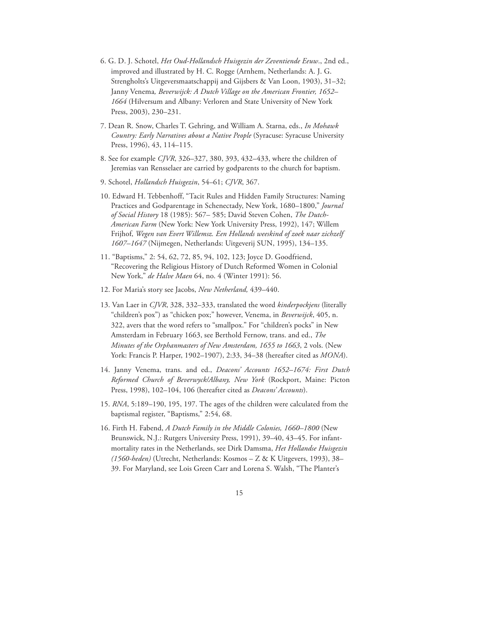- 6. G. D. J. Schotel, *Het Oud-Hollandsch Huisgezin der Zeventiende Eeuw*., 2nd ed., improved and illustrated by H. C. Rogge (Arnhem, Netherlands: A. J. G. Strengholts's Uitgeversmaatschappij and Gijsbers & Van Loon, 1903), 31–32; Janny Venema*, Beverwijck: A Dutch Village on the American Frontier, 1652– 1664* (Hilversum and Albany: Verloren and State University of New York Press, 2003), 230–231.
- 7. Dean R. Snow, Charles T. Gehring, and William A. Starna, eds., *In Mohawk Country: Early Narratives about a Native People* (Syracuse: Syracuse University Press, 1996), 43, 114–115.
- 8. See for example *CJVR*, 326–327, 380, 393, 432–433, where the children of Jeremias van Rensselaer are carried by godparents to the church for baptism.
- 9. Schotel, *Hollandsch Huisgezin*, 54–61; *CJVR*, 367.
- 10. Edward H. Tebbenhoff, "Tacit Rules and Hidden Family Structures: Naming Practices and Godparentage in Schenectady, New York, 1680–1800," *Journal of Social History* 18 (1985): 567– 585; David Steven Cohen, *The Dutch-American Farm* (New York: New York University Press, 1992), 147; Willem Frijhof, *Wegen van Evert Willemsz. Een Hollands weeskind of zoek naar zichzelf 1607–1647* (Nijmegen, Netherlands: Uitgeverij SUN, 1995), 134–135.
- 11. "Baptisms," 2: 54, 62, 72, 85, 94, 102, 123; Joyce D. Goodfriend, "Recovering the Religious History of Dutch Reformed Women in Colonial New York," *de Halve Maen* 64, no. 4 (Winter 1991): 56.
- 12. For Maria's story see Jacobs, *New Netherland,* 439–440.
- 13. Van Laer in *CJVR*, 328, 332–333, translated the word *kinderpockjens* (literally "children's pox") as "chicken pox;" however, Venema, in *Beverwijck*, 405, n. 322, avers that the word refers to "smallpox." For "children's pocks" in New Amsterdam in February 1663, see Berthold Fernow, trans. and ed., *The Minutes of the Orphanmasters of New Amsterdam, 1655 to 1663*, 2 vols. (New York: Francis P. Harper, 1902–1907), 2:33, 34–38 (hereafter cited as *MONA*).
- 14. Janny Venema, trans. and ed., *Deacons' Accounts 1652–1674: First Dutch Reformed Church of Beverwyck/Albany, New York* (Rockport, Maine: Picton Press, 1998), 102–104, 106 (hereafter cited as *Deacons' Accounts*).
- 15. *RNA*, 5:189–190, 195, 197. The ages of the children were calculated from the baptismal register, "Baptisms," 2:54, 68.
- 16. Firth H. Fabend, *A Dutch Family in the Middle Colonies, 1660–1800* (New Brunswick, N.J.: Rutgers University Press, 1991), 39–40, 43–45. For infantmortality rates in the Netherlands, see Dirk Damsma, *Het Hollandse Huisgezin (1560-heden)* (Utrecht, Netherlands: Kosmos – Z & K Uitgevers, 1993), 38– 39. For Maryland, see Lois Green Carr and Lorena S. Walsh, "The Planter's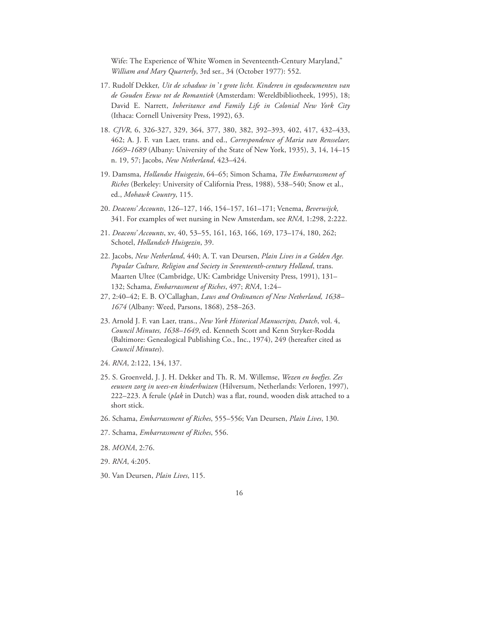Wife: The Experience of White Women in Seventeenth-Century Maryland," *William and Mary Quarterly*, 3rd ser., 34 (October 1977): 552.

- 17. Rudolf Dekker, *Uit de schaduw in* '*t grote licht. Kinderen in egodocumenten van de Gouden Eeuw tot de Romantiek* (Amsterdam: Wereldbibliotheek, 1995), 18; David E. Narrett, *Inheritance and Family Life in Colonial New York City*  (Ithaca: Cornell University Press, 1992), 63.
- 18. *CJVR*, 6, 326-327, 329, 364, 377, 380, 382, 392–393, 402, 417, 432–433, 462; A. J. F. van Laer, trans. and ed., *Correspondence of Maria van Rensselaer, 1669–1689* (Albany: University of the State of New York, 1935), 3, 14, 14–15 n. 19, 57; Jacobs, *New Netherland*, 423–424.
- 19. Damsma, *Hollandse Huisgezin*, 64–65; Simon Schama, *The Embarrassment of Riches* (Berkeley: University of California Press, 1988), 538–540; Snow et al., ed., *Mohawk Country*, 115.
- 20. *Deacons' Accounts*, 126–127, 146, 154–157, 161–171; Venema, *Beverwijck,*  341. For examples of wet nursing in New Amsterdam, see *RNA*, 1:298, 2:222.
- 21. *Deacons' Accounts*, xv, 40, 53–55, 161, 163, 166, 169, 173–174, 180, 262; Schotel, *Hollandsch Huisgezin*, 39.
- 22. Jacobs, *New Netherland*, 440; A. T. van Deursen, *Plain Lives in a Golden Age. Popular Culture, Religion and Society in Seventeenth-century Holland*, trans. Maarten Ultee (Cambridge, UK: Cambridge University Press, 1991), 131– 132; Schama, *Embarrassment of Riches*, 497; *RNA*, 1:24–
- 27, 2:40–42; E. B. O'Callaghan, *Laws and Ordinances of New Netherland, 1638– 1674* (Albany: Weed, Parsons, 1868), 258–263.
- 23. Arnold J. F. van Laer, trans., *New York Historical Manuscripts, Dutch*, vol. 4, *Council Minutes, 1638–1649*, ed. Kenneth Scott and Kenn Stryker-Rodda (Baltimore: Genealogical Publishing Co., Inc., 1974), 249 (hereafter cited as *Council Minutes*).
- 24. *RNA*, 2:122, 134, 137.
- 25. S. Groenveld, J. J. H. Dekker and Th. R. M. Willemse, *Wezen en boefjes. Zes eeuwen zorg in wees-en kinderhuizen* (Hilversum, Netherlands: Verloren, 1997), 222–223. A ferule (*plak* in Dutch) was a flat, round, wooden disk attached to a short stick.
- 26. Schama, *Embarrassment of Riches*, 555–556; Van Deursen, *Plain Lives*, 130.
- 27. Schama, *Embarrassment of Riches*, 556.
- 28. *MONA*, 2:76.
- 29. *RNA*, 4:205.
- 30. Van Deursen, *Plain Lives*, 115.
- 16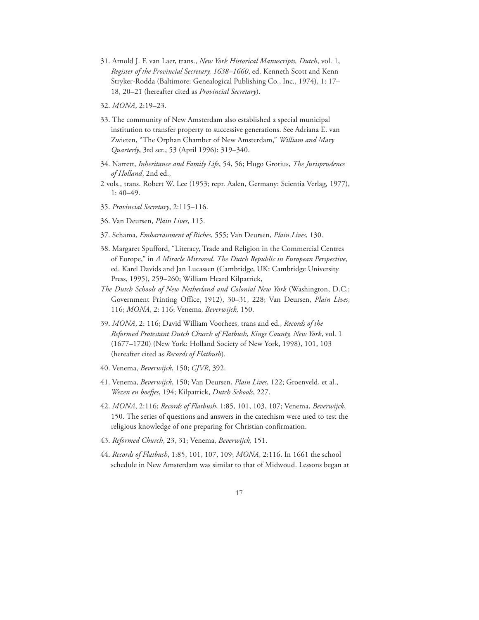- 31. Arnold J. F. van Laer, trans., *New York Historical Manuscripts, Dutch*, vol. 1, *Register of the Provincial Secretary, 1638–1660*, ed. Kenneth Scott and Kenn Stryker-Rodda (Baltimore: Genealogical Publishing Co., Inc., 1974), 1: 17– 18, 20–21 (hereafter cited as *Provincial Secretary*).
- 32. *MONA*, 2:19–23.
- 33. The community of New Amsterdam also established a special municipal institution to transfer property to successive generations. See Adriana E. van Zwieten, "The Orphan Chamber of New Amsterdam," *William and Mary Quarterly*, 3rd ser., 53 (April 1996): 319–340.
- 34. Narrett, *Inheritance and Family Life*, 54, 56; Hugo Grotius, *The Jurisprudence of Holland*, 2nd ed.,
- 2 vols., trans. Robert W. Lee (1953; repr. Aalen, Germany: Scientia Verlag, 1977), 1: 40–49.
- 35. *Provincial Secretary*, 2:115–116.
- 36. Van Deursen, *Plain Lives*, 115.
- 37. Schama, *Embarrassment of Riches*, 555; Van Deursen, *Plain Lives*, 130.
- 38. Margaret Spufford, "Literacy, Trade and Religion in the Commercial Centres of Europe," in *A Miracle Mirrored. The Dutch Republic in European Perspective*, ed. Karel Davids and Jan Lucassen (Cambridge, UK: Cambridge University Press, 1995), 259–260; William Heard Kilpatrick,
- *The Dutch Schools of New Netherland and Colonial New York* (Washington, D.C.: Government Printing Office, 1912), 30–31, 228; Van Deursen, *Plain Lives*, 116; *MONA*, 2: 116; Venema, *Beverwijck,* 150.
- 39. *MONA*, 2: 116; David William Voorhees, trans and ed., *Records of the Reformed Protestant Dutch Church of Flatbush, Kings County, New York*, vol. 1 (1677–1720) (New York: Holland Society of New York, 1998), 101, 103 (hereafter cited as *Records of Flatbush*).
- 40. Venema, *Beverwijck*, 150; *CJVR*, 392.
- 41. Venema, *Beverwijck*, 150; Van Deursen, *Plain Lives*, 122; Groenveld, et al., *Wezen en boefjes*, 194; Kilpatrick, *Dutch Schools*, 227.
- 42. *MONA*, 2:116; *Records of Flatbush*, 1:85, 101, 103, 107; Venema, *Beverwijck*, 150. The series of questions and answers in the catechism were used to test the religious knowledge of one preparing for Christian confirmation.
- 43. *Reformed Church*, 23, 31; Venema, *Beverwijck,* 151.
- 44. *Records of Flatbush*, 1:85, 101, 107, 109; *MONA*, 2:116. In 1661 the school schedule in New Amsterdam was similar to that of Midwoud. Lessons began at
	- 17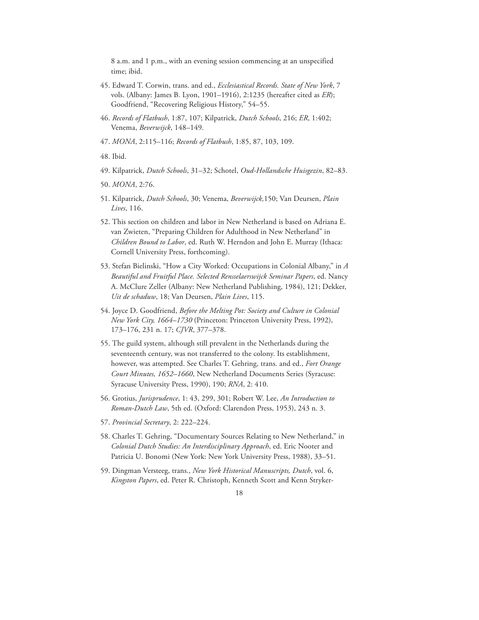8 a.m. and 1 p.m., with an evening session commencing at an unspecified time; ibid.

- 45. Edward T. Corwin, trans. and ed., *Ecclesiastical Records. State of New York*, 7 vols. (Albany: James B. Lyon, 1901–1916), 2:1235 (hereafter cited as *ER*); Goodfriend, "Recovering Religious History," 54–55.
- 46. *Records of Flatbush*, 1:87, 107; Kilpatrick, *Dutch Schools*, 216; *ER*, 1:402; Venema, *Beverwijck*, 148–149.
- 47. *MONA*, 2:115–116; *Records of Flatbush*, 1:85, 87, 103, 109.
- 48. Ibid.
- 49. Kilpatrick, *Dutch Schools*, 31–32; Schotel, *Oud-Hollandsche Huisgezin*, 82–83.
- 50. *MONA*, 2:76.
- 51. Kilpatrick, *Dutch Schools*, 30; Venema, *Beverwijck,*150; Van Deursen, *Plain Lives*, 116.
- 52. This section on children and labor in New Netherland is based on Adriana E. van Zwieten, "Preparing Children for Adulthood in New Netherland" in *Children Bound to Labor*, ed. Ruth W. Herndon and John E. Murray (Ithaca: Cornell University Press, forthcoming).
- 53. Stefan Bielinski, "How a City Worked: Occupations in Colonial Albany," in *A Beautiful and Fruitful Place. Selected Rensselaerswijck Seminar Papers*, ed. Nancy A. McClure Zeller (Albany: New Netherland Publishing, 1984), 121; Dekker, *Uit de schaduw*, 18; Van Deursen, *Plain Lives*, 115.
- 54. Joyce D. Goodfriend, *Before the Melting Pot: Society and Culture in Colonial New York City, 1664–1730* (Princeton: Princeton University Press, 1992), 173–176, 231 n. 17; *CJVR*, 377–378.
- 55. The guild system, although still prevalent in the Netherlands during the seventeenth century, was not transferred to the colony. Its establishment, however, was attempted. See Charles T. Gehring, trans. and ed., *Fort Orange Court Minutes, 1652–1660*, New Netherland Documents Series (Syracuse: Syracuse University Press, 1990), 190; *RNA*, 2: 410.
- 56. Grotius, *Jurisprudence*, 1: 43, 299, 301; Robert W. Lee, *An Introduction to Roman-Dutch Law*, 5th ed. (Oxford: Clarendon Press, 1953), 243 n. 3.
- 57. *Provincial Secretary*, 2: 222–224.
- 58. Charles T. Gehring, "Documentary Sources Relating to New Netherland," in *Colonial Dutch Studies: An Interdisciplinary Approach*, ed. Eric Nooter and Patricia U. Bonomi (New York: New York University Press, 1988), 33–51.
- 59. Dingman Versteeg, trans., *New York Historical Manuscripts, Dutch*, vol. 6, *Kingston Papers*, ed. Peter R. Christoph, Kenneth Scott and Kenn Stryker-
	- 18